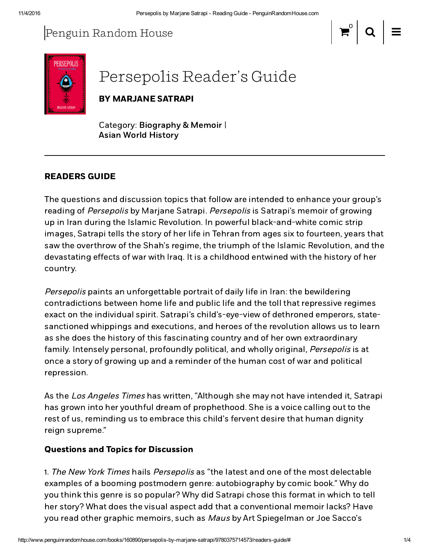

# Persepolis Reader's Guide

BY [MARJANE](http://www.penguinrandomhouse.com/authors/43801/marjane-satrapi) SATRAPI

Category: [Biography](http://www.penguinrandomhouse.com/books/biography-memoir) & Memoir | Asian World [History](http://www.penguinrandomhouse.com/books/asia-world-history)

# READERS GUIDE

The questions and discussion topics that follow are intended to enhance your group's reading of *Persepolis* by Marjane Satrapi. *Persepolis* is Satrapi's memoir of growing up in Iran during the Islamic Revolution. In powerful black-and-white comic strip images, Satrapi tells the story of her life in Tehran from ages six to fourteen, years that saw the overthrow of the Shah's regime, the triumph of the Islamic Revolution, and the devastating effects of war with Iraq. It is a childhood entwined with the history of her country.

Persepolis paints an unforgettable portrait of daily life in Iran: the bewildering contradictions between home life and public life and the toll that repressive regimes exact on the individual spirit. Satrapi's child's-eye-view of dethroned emperors, statesanctioned whippings and executions, and heroes of the revolution allows us to learn as she does the history of this fascinating country and of her own extraordinary family. Intensely personal, profoundly political, and wholly original, Persepolis is at once a story of growing up and a reminder of the human cost of war and political repression.

As the Los Angeles Times has written, "Although she may not have intended it, Satrapi has grown into her youthful dream of prophethood. She is a voice calling out to the rest of us, reminding us to embrace this child's fervent desire that human dignity reign supreme."

### Questions and Topics for Discussion

1. The New York Times hails Persepolis as "the latest and one of the most delectable examples of a booming postmodern genre: autobiography by comic book." Why do you think this genre is so popular? Why did Satrapi chose this format in which to tell her story? What does the visual aspect add that a conventional memoir lacks? Have you read other graphic memoirs, such as Maus by Art Spiegelman or Joe Sacco's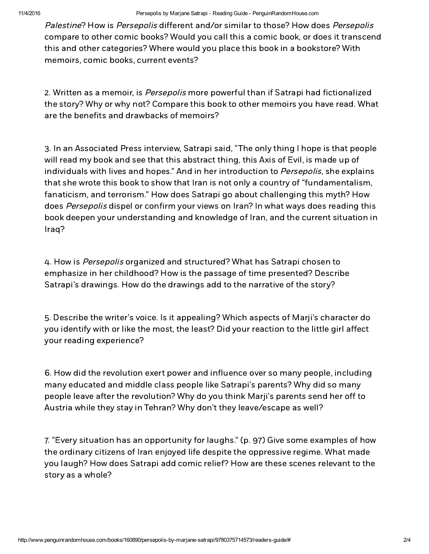Palestine? How is Persepolis different and/or similar to those? How does Persepolis compare to other comic books? Would you call this a comic book, or does it transcend this and other categories? Where would you place this book in a bookstore? With memoirs, comic books, current events?

2. Written as a memoir, is *Persepolis* more powerful than if Satrapi had fictionalized the story? Why or why not? Compare this book to other memoirs you have read. What are the benefits and drawbacks of memoirs?

3. In an Associated Press interview, Satrapi said, "The only thing I hope is that people will read my book and see that this abstract thing, this Axis of Evil, is made up of individuals with lives and hopes." And in her introduction to Persepolis, she explains that she wrote this book to show that Iran is not only a country of "fundamentalism, fanaticism, and terrorism." How does Satrapi go about challenging this myth? How does Persepolis dispel or confirm your views on Iran? In what ways does reading this book deepen your understanding and knowledge of Iran, and the current situation in Iraq?

4. How is Persepolis organized and structured? What has Satrapi chosen to emphasize in her childhood? How is the passage of time presented? Describe Satrapi's drawings. How do the drawings add to the narrative of the story?

5. Describe the writer's voice. Is it appealing? Which aspects of Marji's character do you identify with or like the most, the least? Did your reaction to the little girl affect your reading experience?

6. How did the revolution exert power and influence over so many people, including many educated and middle class people like Satrapi's parents? Why did so many people leave after the revolution? Why do you think Marji's parents send her off to Austria while they stay in Tehran? Why don't they leave/escape as well?

7. "Every situation has an opportunity for laughs." (p. 97) Give some examples of how the ordinary citizens of Iran enjoyed life despite the oppressive regime. What made you laugh? How does Satrapi add comic relief? How are these scenes relevant to the story as a whole?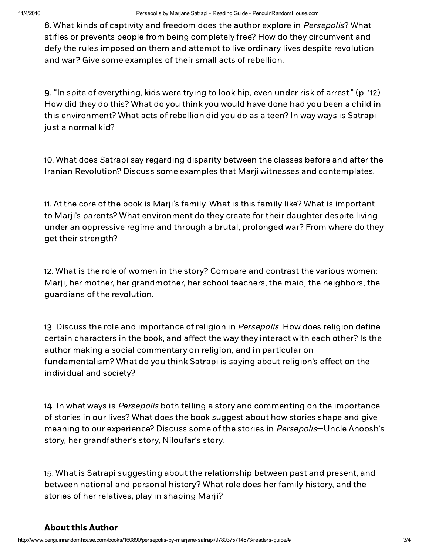8. What kinds of captivity and freedom does the author explore in *Persepolis*? What stifles or prevents people from being completely free? How do they circumvent and defy the rules imposed on them and attempt to live ordinary lives despite revolution and war? Give some examples of their small acts of rebellion.

9. "In spite of everything, kids were trying to look hip, even under risk of arrest." (p. 112) How did they do this? What do you think you would have done had you been a child in this environment? What acts of rebellion did you do as a teen? In way ways is Satrapi just a normal kid?

10. What does Satrapi say regarding disparity between the classes before and after the Iranian Revolution? Discuss some examples that Marji witnesses and contemplates.

11. At the core of the book is Marji's family. What is this family like? What is important to Marji's parents? What environment do they create for their daughter despite living under an oppressive regime and through a brutal, prolonged war? From where do they get their strength?

12. What is the role of women in the story? Compare and contrast the various women: Marji, her mother, her grandmother, her school teachers, the maid, the neighbors, the guardians of the revolution.

13. Discuss the role and importance of religion in Persepolis. How does religion define certain characters in the book, and affect the way they interact with each other? Is the author making a social commentary on religion, and in particular on fundamentalism? What do you think Satrapi is saying about religion's effect on the individual and society?

14. In what ways is *Persepolis* both telling a story and commenting on the importance of stories in our lives? What does the book suggest about how stories shape and give meaning to our experience? Discuss some of the stories in *Persepolis*—Uncle Anoosh's story, her grandfather's story, Niloufar's story.

15. What is Satrapi suggesting about the relationship between past and present, and between national and personal history? What role does her family history, and the stories of her relatives, play in shaping Marji?

#### About this Author